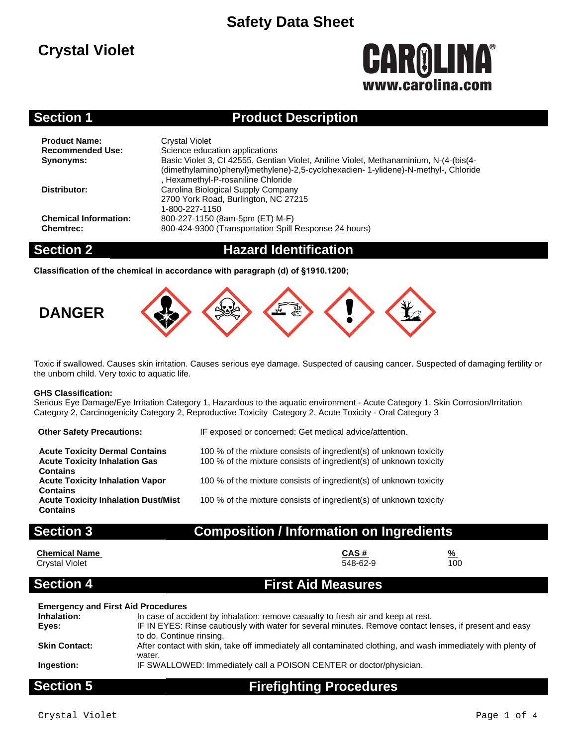## **Crystal Violet**

# **CAROLINA®** www.carolina.co

#### **Section 1 Product Description**

| <b>Product Name:</b><br><b>Recommended Use:</b><br><b>Synonyms:</b> | <b>Crystal Violet</b><br>Science education applications<br>Basic Violet 3, CI 42555, Gentian Violet, Aniline Violet, Methanaminium, N-(4-(bis(4-<br>(dimethylamino)phenyl)methylene)-2,5-cyclohexadien-1-ylidene)-N-methyl-, Chloride<br>. Hexamethyl-P-rosaniline Chloride |
|---------------------------------------------------------------------|-----------------------------------------------------------------------------------------------------------------------------------------------------------------------------------------------------------------------------------------------------------------------------|
| Distributor:                                                        | Carolina Biological Supply Company<br>2700 York Road, Burlington, NC 27215<br>1-800-227-1150                                                                                                                                                                                |
| <b>Chemical Information:</b><br><b>Chemtrec:</b>                    | 800-227-1150 (8am-5pm (ET) M-F)<br>800-424-9300 (Transportation Spill Response 24 hours)                                                                                                                                                                                    |

#### **Section 2 Hazard Identification**

**Classification of the chemical in accordance with paragraph (d) of §1910.1200;**



Toxic if swallowed. Causes skin irritation. Causes serious eye damage. Suspected of causing cancer. Suspected of damaging fertility or the unborn child. Very toxic to aquatic life.

#### **GHS Classification:**

Serious Eye Damage/Eye Irritation Category 1, Hazardous to the aquatic environment - Acute Category 1, Skin Corrosion/Irritation Category 2, Carcinogenicity Category 2, Reproductive Toxicity Category 2, Acute Toxicity - Oral Category 3

| <b>Other Safety Precautions:</b>                                                                 | IF exposed or concerned: Get medical advice/attention.                                                                                   |
|--------------------------------------------------------------------------------------------------|------------------------------------------------------------------------------------------------------------------------------------------|
| <b>Acute Toxicity Dermal Contains</b><br><b>Acute Toxicity Inhalation Gas</b><br><b>Contains</b> | 100 % of the mixture consists of ingredient(s) of unknown toxicity<br>100 % of the mixture consists of ingredient(s) of unknown toxicity |
| <b>Acute Toxicity Inhalation Vapor</b><br><b>Contains</b>                                        | 100 % of the mixture consists of ingredient(s) of unknown toxicity                                                                       |
| <b>Acute Toxicity Inhalation Dust/Mist</b><br><b>Contains</b>                                    | 100 % of the mixture consists of ingredient(s) of unknown toxicity                                                                       |

### **Section 3 Composition / Information on Ingredients**

**Chemical Name CAS # % Crystal Violet** 

### **Section 4 First Aid Measures**

#### **Emergency and First Aid Procedures**

| 0.11.1               | Finalizate de Bassadenca                                                                                                                 |
|----------------------|------------------------------------------------------------------------------------------------------------------------------------------|
| Ingestion:           | IF SWALLOWED: Immediately call a POISON CENTER or doctor/physician.                                                                      |
|                      | water.                                                                                                                                   |
| <b>Skin Contact:</b> | to do. Continue rinsing.<br>After contact with skin, take off immediately all contaminated clothing, and wash immediately with plenty of |
| Eves:                | IF IN EYES: Rinse cautiously with water for several minutes. Remove contact lenses, if present and easy                                  |
| Inhalation:          | In case of accident by inhalation: remove casualty to fresh air and keep at rest.                                                        |

### **Section 5 Firefighting Procedures**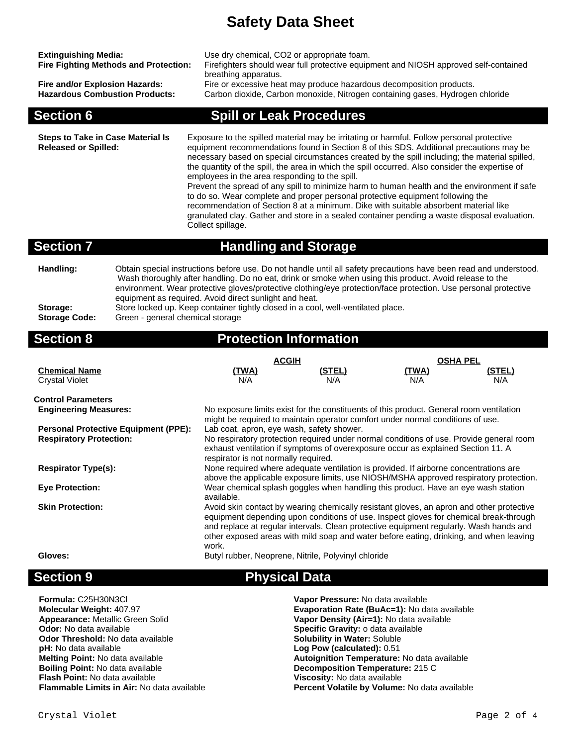| <b>Extinguishing Media:</b><br><b>Fire Fighting Methods and Protection:</b><br>Fire and/or Explosion Hazards:<br><b>Hazardous Combustion Products:</b><br><b>Section 6</b>                                                                                                                                                                                                                                                                                                                                                                                                                                          |       | breathing apparatus.                                                                                                                                                                                                                                                                                                                                                                                                                                                                                                                                                                                                                                                                                                                                                                                                                       | Use dry chemical, CO2 or appropriate foam.<br>Firefighters should wear full protective equipment and NIOSH approved self-contained<br>Fire or excessive heat may produce hazardous decomposition products.<br>Carbon dioxide, Carbon monoxide, Nitrogen containing gases, Hydrogen chloride<br><b>Spill or Leak Procedures</b>                                                                        |                                        |               |
|---------------------------------------------------------------------------------------------------------------------------------------------------------------------------------------------------------------------------------------------------------------------------------------------------------------------------------------------------------------------------------------------------------------------------------------------------------------------------------------------------------------------------------------------------------------------------------------------------------------------|-------|--------------------------------------------------------------------------------------------------------------------------------------------------------------------------------------------------------------------------------------------------------------------------------------------------------------------------------------------------------------------------------------------------------------------------------------------------------------------------------------------------------------------------------------------------------------------------------------------------------------------------------------------------------------------------------------------------------------------------------------------------------------------------------------------------------------------------------------------|-------------------------------------------------------------------------------------------------------------------------------------------------------------------------------------------------------------------------------------------------------------------------------------------------------------------------------------------------------------------------------------------------------|----------------------------------------|---------------|
| <b>Steps to Take in Case Material Is</b><br><b>Released or Spilled:</b>                                                                                                                                                                                                                                                                                                                                                                                                                                                                                                                                             |       | Exposure to the spilled material may be irritating or harmful. Follow personal protective<br>equipment recommendations found in Section 8 of this SDS. Additional precautions may be<br>necessary based on special circumstances created by the spill including; the material spilled,<br>the quantity of the spill, the area in which the spill occurred. Also consider the expertise of<br>employees in the area responding to the spill.<br>Prevent the spread of any spill to minimize harm to human health and the environment if safe<br>to do so. Wear complete and proper personal protective equipment following the<br>recommendation of Section 8 at a minimum. Dike with suitable absorbent material like<br>granulated clay. Gather and store in a sealed container pending a waste disposal evaluation.<br>Collect spillage. |                                                                                                                                                                                                                                                                                                                                                                                                       |                                        |               |
| <b>Section 7</b>                                                                                                                                                                                                                                                                                                                                                                                                                                                                                                                                                                                                    |       |                                                                                                                                                                                                                                                                                                                                                                                                                                                                                                                                                                                                                                                                                                                                                                                                                                            | <b>Handling and Storage</b>                                                                                                                                                                                                                                                                                                                                                                           |                                        |               |
| Handling:<br>Obtain special instructions before use. Do not handle until all safety precautions have been read and understood.<br>Wash thoroughly after handling. Do no eat, drink or smoke when using this product. Avoid release to the<br>environment. Wear protective gloves/protective clothing/eye protection/face protection. Use personal protective<br>equipment as required. Avoid direct sunlight and heat.<br>Store locked up. Keep container tightly closed in a cool, well-ventilated place.<br>Storage:<br><b>Storage Code:</b><br>Green - general chemical storage<br><b>Protection Information</b> |       |                                                                                                                                                                                                                                                                                                                                                                                                                                                                                                                                                                                                                                                                                                                                                                                                                                            |                                                                                                                                                                                                                                                                                                                                                                                                       |                                        |               |
|                                                                                                                                                                                                                                                                                                                                                                                                                                                                                                                                                                                                                     |       |                                                                                                                                                                                                                                                                                                                                                                                                                                                                                                                                                                                                                                                                                                                                                                                                                                            |                                                                                                                                                                                                                                                                                                                                                                                                       |                                        |               |
| <b>Section 8</b>                                                                                                                                                                                                                                                                                                                                                                                                                                                                                                                                                                                                    |       |                                                                                                                                                                                                                                                                                                                                                                                                                                                                                                                                                                                                                                                                                                                                                                                                                                            |                                                                                                                                                                                                                                                                                                                                                                                                       |                                        |               |
| <b>Chemical Name</b><br><b>Crystal Violet</b>                                                                                                                                                                                                                                                                                                                                                                                                                                                                                                                                                                       |       | <b>ACGIH</b><br>(TWA)<br>N/A                                                                                                                                                                                                                                                                                                                                                                                                                                                                                                                                                                                                                                                                                                                                                                                                               | (STEL)<br>N/A                                                                                                                                                                                                                                                                                                                                                                                         | <b>OSHA PEL</b><br><u>(TWA)</u><br>N/A | (STEL)<br>N/A |
| <b>Control Parameters</b><br><b>Engineering Measures:</b><br><b>Personal Protective Equipment (PPE):</b><br><b>Respiratory Protection:</b>                                                                                                                                                                                                                                                                                                                                                                                                                                                                          |       |                                                                                                                                                                                                                                                                                                                                                                                                                                                                                                                                                                                                                                                                                                                                                                                                                                            | No exposure limits exist for the constituents of this product. General room ventilation<br>might be required to maintain operator comfort under normal conditions of use.<br>Lab coat, apron, eye wash, safety shower.<br>No respiratory protection required under normal conditions of use. Provide general room<br>exhaust ventilation if symptoms of overexposure occur as explained Section 11. A |                                        |               |
| <b>Respirator Type(s):</b>                                                                                                                                                                                                                                                                                                                                                                                                                                                                                                                                                                                          |       | respirator is not normally required.                                                                                                                                                                                                                                                                                                                                                                                                                                                                                                                                                                                                                                                                                                                                                                                                       | None required where adequate ventilation is provided. If airborne concentrations are                                                                                                                                                                                                                                                                                                                  |                                        |               |
| <b>Eye Protection:</b>                                                                                                                                                                                                                                                                                                                                                                                                                                                                                                                                                                                              |       |                                                                                                                                                                                                                                                                                                                                                                                                                                                                                                                                                                                                                                                                                                                                                                                                                                            | above the applicable exposure limits, use NIOSH/MSHA approved respiratory protection.<br>Wear chemical splash goggles when handling this product. Have an eye wash station                                                                                                                                                                                                                            |                                        |               |
| <b>Skin Protection:</b>                                                                                                                                                                                                                                                                                                                                                                                                                                                                                                                                                                                             | work. | available.                                                                                                                                                                                                                                                                                                                                                                                                                                                                                                                                                                                                                                                                                                                                                                                                                                 | Avoid skin contact by wearing chemically resistant gloves, an apron and other protective<br>equipment depending upon conditions of use. Inspect gloves for chemical break-through<br>and replace at regular intervals. Clean protective equipment regularly. Wash hands and<br>other exposed areas with mild soap and water before eating, drinking, and when leaving                                 |                                        |               |

### **Section 9 Physical Data**

### **Formula:** C25H30N3Cl **Vapor Pressure:** No data available **Appearance:** Metallic Green Solid **Vapor Density (Air=1):** No data available **Odor:** No data available **Specific Gravity:** o data available **Odor:** No data available **Specific Gravity:** o data available **Specific Gravity:** o data available **Codor Threshold:** No data available **Odor Threshold:** No data available **pH:** No data available **pH:** No data available **Log Pow (calculated):** 0.51 **Melting Point:** No data available **Log Pow (calculated):** 0.51 **Melting Point:** No data available **Flash Point:** No data available **Viscosity:** No data available

**Molecular Weight:** 407.97 **Evaporation Rate (BuAc=1):** No data available **Melting Point:** No data available **Autoignition Temperature:** No data available **Boiling Point:** No data available **Boiling Point:** No data available **Boiling Point:** No data available **Becomposition Temperature:** 215 C Percent Volatile by Volume: No data available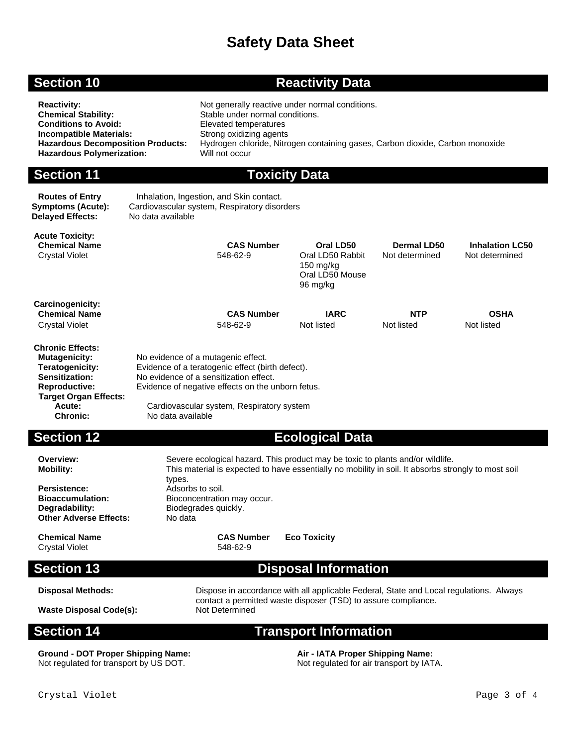#### **Section 10 <b>Reactivity Data**

| <b>Reactivity:</b><br><b>Chemical Stability:</b><br><b>Conditions to Avoid:</b><br><b>Incompatible Materials:</b><br><b>Hazardous Decomposition Products:</b><br><b>Hazardous Polymerization:</b> |                                                                                                                                                                                                                                                         | Not generally reactive under normal conditions.<br>Stable under normal conditions.<br>Elevated temperatures<br>Strong oxidizing agents<br>Hydrogen chloride, Nitrogen containing gases, Carbon dioxide, Carbon monoxide<br>Will not occur    |                                                                             |                               |                                          |
|---------------------------------------------------------------------------------------------------------------------------------------------------------------------------------------------------|---------------------------------------------------------------------------------------------------------------------------------------------------------------------------------------------------------------------------------------------------------|----------------------------------------------------------------------------------------------------------------------------------------------------------------------------------------------------------------------------------------------|-----------------------------------------------------------------------------|-------------------------------|------------------------------------------|
| <b>Section 11</b>                                                                                                                                                                                 |                                                                                                                                                                                                                                                         | <b>Toxicity Data</b>                                                                                                                                                                                                                         |                                                                             |                               |                                          |
| <b>Routes of Entry</b><br><b>Symptoms (Acute):</b><br><b>Delayed Effects:</b>                                                                                                                     | Inhalation, Ingestion, and Skin contact.<br>Cardiovascular system, Respiratory disorders<br>No data available                                                                                                                                           |                                                                                                                                                                                                                                              |                                                                             |                               |                                          |
| <b>Acute Toxicity:</b><br><b>Chemical Name</b><br><b>Crystal Violet</b>                                                                                                                           |                                                                                                                                                                                                                                                         | <b>CAS Number</b><br>548-62-9                                                                                                                                                                                                                | Oral LD50<br>Oral LD50 Rabbit<br>$150$ mg/kg<br>Oral LD50 Mouse<br>96 mg/kg | Dermal LD50<br>Not determined | <b>Inhalation LC50</b><br>Not determined |
| Carcinogenicity:<br><b>Chemical Name</b><br><b>Crystal Violet</b>                                                                                                                                 |                                                                                                                                                                                                                                                         | <b>CAS Number</b><br>548-62-9                                                                                                                                                                                                                | <b>IARC</b><br>Not listed                                                   | <b>NTP</b><br>Not listed      | <b>OSHA</b><br>Not listed                |
| <b>Chronic Effects:</b><br><b>Mutagenicity:</b><br>Teratogenicity:<br><b>Sensitization:</b><br><b>Reproductive:</b><br><b>Target Organ Effects:</b><br>Acute:<br><b>Chronic:</b>                  | No evidence of a mutagenic effect.<br>Evidence of a teratogenic effect (birth defect).<br>No evidence of a sensitization effect.<br>Evidence of negative effects on the unborn fetus.<br>Cardiovascular system, Respiratory system<br>No data available |                                                                                                                                                                                                                                              |                                                                             |                               |                                          |
| <b>Section 12</b>                                                                                                                                                                                 |                                                                                                                                                                                                                                                         |                                                                                                                                                                                                                                              | <b>Ecological Data</b>                                                      |                               |                                          |
| Overview:<br><b>Mobility:</b><br>Persistence:<br><b>Bioaccumulation:</b><br>Degradability:<br><b>Other Adverse Effects:</b>                                                                       | types.<br>Adsorbs to soil.<br>No data                                                                                                                                                                                                                   | Severe ecological hazard. This product may be toxic to plants and/or wildlife.<br>This material is expected to have essentially no mobility in soil. It absorbs strongly to most soil<br>Bioconcentration may occur.<br>Biodegrades quickly. |                                                                             |                               |                                          |

**Other Adverse Effects: Chemical Name CAS Number Eco Toxicity**

Crystal Violet 548-62-9

### **Section 13 Disposal Information**

Disposal Methods: Dispose in accordance with all applicable Federal, State and Local regulations. Always contact a permitted waste disposer (TSD) to assure compliance. **Waste Disposal Code(s):** Not Determined

#### **Section 14 Transport Information**

**Ground - DOT Proper Shipping Name: Air - IATA Proper Shipping Name: Air - IATA Proper Shipping Name: Not regulated for air transport by IATA.** Not regulated for transport by US DOT.